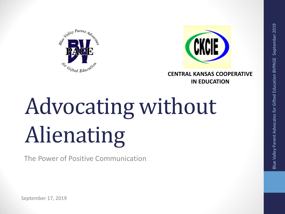



**CENTRAL KANSAS COOPERATIVE IN EDUCATION**

# Advocating without Alienating

The Power of Positive Communication

September 17, 2019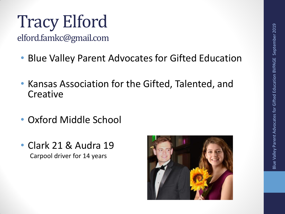## Tracy Elford

elford.famkc@gmail.com

- Blue Valley Parent Advocates for Gifted Education
- Kansas Association for the Gifted, Talented, and **Creative**
- Oxford Middle School
- Clark 21 & Audra 19 Carpool driver for 14 years

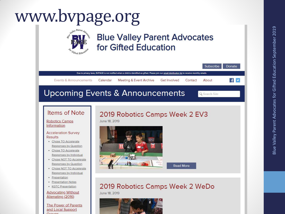### www.bvpage.org

#### **Blue Valley Parent Advocates** for Gifted Education



#### **Items of Note**

#### **Robotics Camps** Information

#### **Acceleration Survey Results**

- Chose TO Accelerate Responses by Question
- Chose TO Accelerate Responses by Individual
- Chose NOT TO Accelerate **Responses by Question**
- · Chose NOT TO Accelerate Responses by Individual
- · Presentation
- · Presentation Notes
- KGTC Presentation

#### **Advocating Without** Alienating (2016)

**The Power of Parents** and Local Support  $C$ *round* 

#### 2019 Robotics Camps Week 2 EV3

June 18, 2019



**Read More** 

#### 2019 Robotics Camps Week 2 WeDo

June 18, 2019

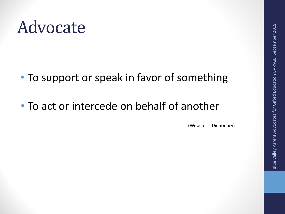### Advocate

- To support or speak in favor of something
- To act or intercede on behalf of another

(Webster's Dictionary)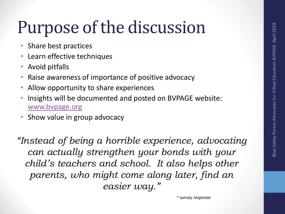## Purpose of the discussion

- Share best practices
- Learn effective techniques
- Avoid pitfalls
- Raise awareness of importance of positive advocacy
- Allow opportunity to share experiences
- Insights will be documented and posted on BVPAGE website: [www.bvpage.org](http://www.bvpage.org/)
- Show value in group advocacy

*"Instead of being a horrible experience, advocating can actually strengthen your bonds with your child's teachers and school. It also helps other parents, who might come along later, find an easier way."*

 *~ survey response*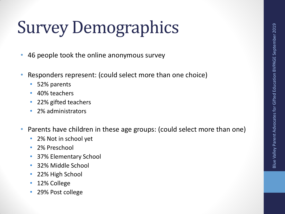## Survey Demographics

- 46 people took the online anonymous survey
- Responders represent: (could select more than one choice)
	- 52% parents
	- 40% teachers
	- 22% gifted teachers
	- 2% administrators
- Parents have children in these age groups: (could select more than one)
	- 2% Not in school yet
	- 2% Preschool
	- 37% Elementary School
	- 32% Middle School
	- 22% High School
	- 12% College
	- 29% Post college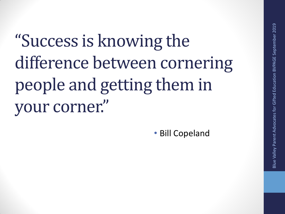"Success is knowing the difference between cornering people and getting them in your corner."

• Bill Copeland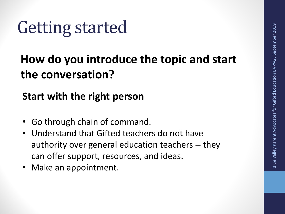### Getting started

### **How do you introduce the topic and start the conversation?**

**Start with the right person**

- Go through chain of command.
- Understand that Gifted teachers do not have authority over general education teachers -- they can offer support, resources, and ideas.
- Make an appointment.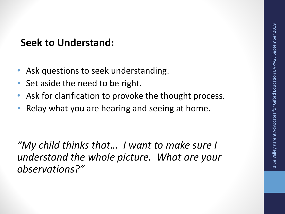#### **Seek to Understand:**

- Ask questions to seek understanding.
- Set aside the need to be right.
- Ask for clarification to provoke the thought process.
- Relay what you are hearing and seeing at home.

*"My child thinks that… I want to make sure I understand the whole picture. What are your observations?"*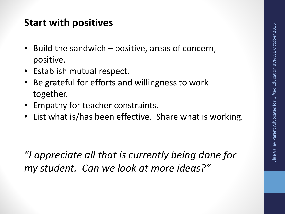#### **Start with positives**

- Build the sandwich positive, areas of concern, positive.
- Establish mutual respect.
- Be grateful for efforts and willingness to work together.
- Empathy for teacher constraints.
- List what is/has been effective. Share what is working.

*"I appreciate all that is currently being done for my student. Can we look at more ideas?"*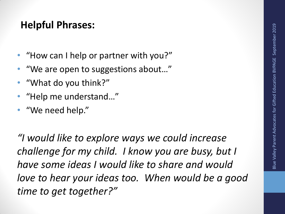#### **Helpful Phrases:**

- "How can I help or partner with you?"
- "We are open to suggestions about…"
- "What do you think?"
- "Help me understand…"
- "We need help."

*"I would like to explore ways we could increase challenge for my child. I know you are busy, but I have some ideas I would like to share and would love to hear your ideas too. When would be a good time to get together?"*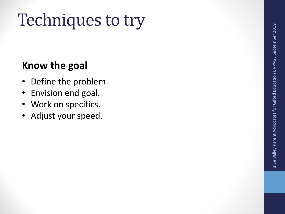## Techniques to try

#### **Know the goal**

- Define the problem .
- Envision end goal.
- Work on specifics.
- Adjust your speed.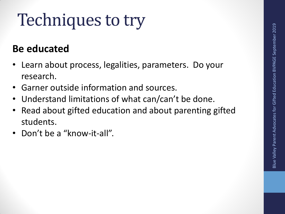## Techniques to try

#### **Be educated**

- Learn about process, legalities, parameters. Do your research.
- Garner outside information and sources.
- Understand limitations of what can/can't be done.
- Read about gifted education and about parenting gifted students.
- Don't be a "know-it-all".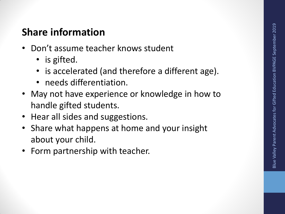#### **Share information**

- Don't assume teacher knows student
	- is gifted.
	- is accelerated (and therefore a different age).
	- needs differentiation.
- May not have experience or knowledge in how to handle gifted students .
- Hear all sides and suggestions.
- Share what happens at home and your insight about your child.
- Form partnership with teacher.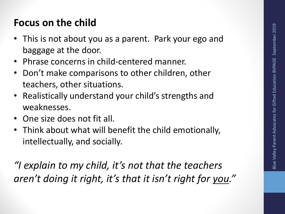#### **Focus on the child**

- This is not about you as a parent. Park your ego and baggage at the door.
- Phrase concerns in child-centered manner.
- Don't make comparisons to other children, other teachers, other situations.
- Realistically understand your child's strengths and weaknesses.
- One size does not fit all.
- Think about what will benefit the child emotionally, intellectually, and socially.

*"I explain to my child, it's not that the teachers aren't doing it right, it's that it isn't right for you."*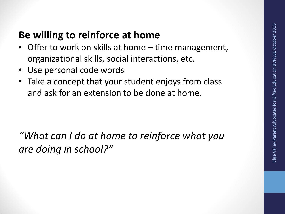#### **Be willing to reinforce at home**

- Offer to work on skills at home time management, organizational skills, social interactions, etc.
- Use personal code words
- Take a concept that your student enjoys from class and ask for an extension to be done at home.

*"What can I do at home to reinforce what you are doing in school?"*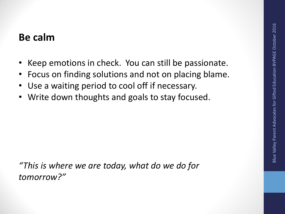#### **Be calm**

- Keep emotions in check. You can still be passionate.
- Focus on finding solutions and not on placing blame.
- Use a waiting period to cool off if necessary.
- Write down thoughts and goals to stay focused.

*"This is where we are today, what do we do for tomorrow?"*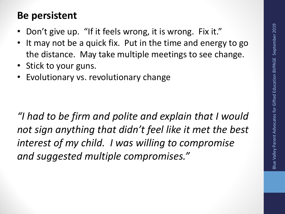#### **Be persistent**

- Don't give up. "If it feels wrong, it is wrong. Fix it."
- It may not be a quick fix. Put in the time and energy to go the distance. May take multiple meetings to see change.
- Stick to your guns.
- Evolutionary vs. revolutionary change

*"I had to be firm and polite and explain that I would not sign anything that didn't feel like it met the best interest of my child. I was willing to compromise and suggested multiple compromises."*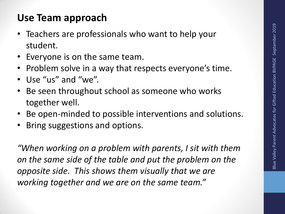#### **Use Team approach**

- Teachers are professionals who want to help your student.
- Everyone is on the same team.
- Problem solve in a way that respects everyone's time.
- Use "us" and "we".
- Be seen throughout school as someone who works together well.
- Be open-minded to possible interventions and solutions.
- Bring suggestions and options.

*"When working on a problem with parents, I sit with them on the same side of the table and put the problem on the opposite side. This shows them visually that we are working together and we are on the same team."*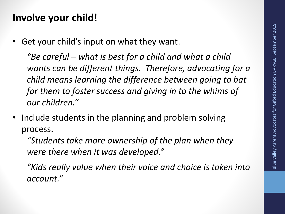#### **Involve your child!**

Get your child's input on what they want.

*"Be careful – what is best for a child and what a child wants can be different things. Therefore, advocating for a child means learning the difference between going to bat for them to foster success and giving in to the whims of our children."*

• Include students in the planning and problem solving process.

*"Students take more ownership of the plan when they were there when it was developed."*

*"Kids really value when their voice and choice is taken into account."*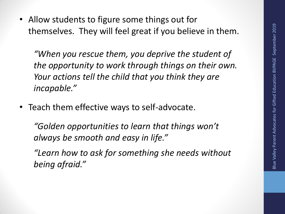• Allow students to figure some things out for themselves. They will feel great if you believe in them.

*"When you rescue them, you deprive the student of the opportunity to work through things on their own. Your actions tell the child that you think they are incapable."*

• Teach them effective ways to self-advocate.

*"Golden opportunities to learn that things won't always be smooth and easy in life."*

*"Learn how to ask for something she needs without being afraid."*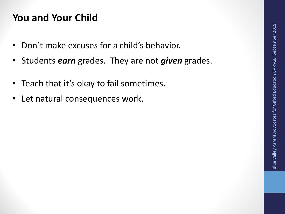#### **You and Your Child**

- Don't make excuses for a child's behavior.
- Students *earn* grades. They are not *given* grades .
- Teach that it's okay to fail sometimes.
- Let natural consequences work.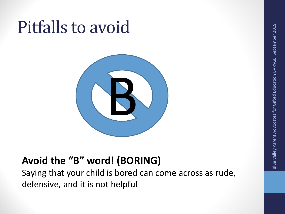## Pitfalls to avoid



### **Avoid the "B" word! (BORING)**

Saying that your child is bored can come across as rude, defensive, and it is not helpful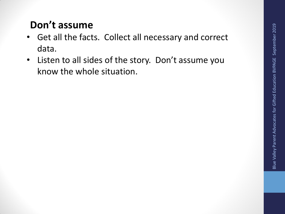#### **Don't assume**

- Get all the facts. Collect all necessary and correct data.
- Listen to all sides of the story. Don't assume you know the whole situation.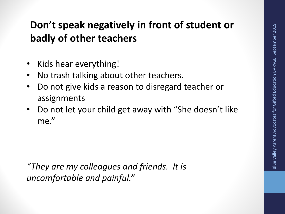### **Don't speak negatively in front of student or badly of other teachers**

- Kids hear everything!
- No trash talking about other teachers.
- Do not give kids a reason to disregard teacher or assignments
- Do not let your child get away with "She doesn't like me."

*"They are my colleagues and friends. It is uncomfortable and painful."*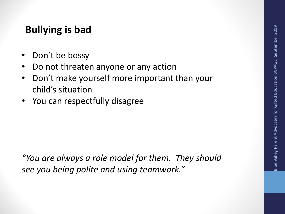#### **Bullying is bad**

- Don't be bossy
- Do not threaten anyone or any action
- Don't make yourself more important than your child's situation
- You can respectfully disagree

*"You are always a role model for them. They should see you being polite and using teamwork."*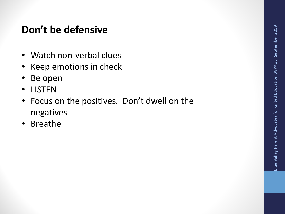#### **Don't be defensive**

- Watch non-verbal clues
- Keep emotions in check
- Be open
- LISTEN
- Focus on the positives. Don't dwell on the negatives
- Breathe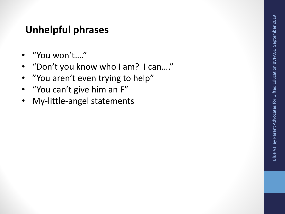#### **Unhelpful phrases**

- "You won't…."
- "Don't you know who I am? I can…."
- "You aren't even trying to help"
- "You can't give him an F"
- My-little-angel statements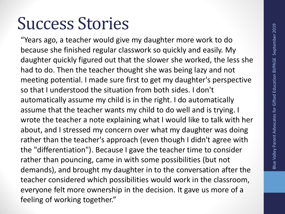### Success Stories

"Years ago, a teacher would give my daughter more work to do because she finished regular classwork so quickly and easily. My daughter quickly figured out that the slower she worked, the less she had to do. Then the teacher thought she was being lazy and not meeting potential. I made sure first to get my daughter's perspective so that I understood the situation from both sides. I don't automatically assume my child is in the right. I do automatically assume that the teacher wants my child to do well and is trying. I wrote the teacher a note explaining what I would like to talk with her about, and I stressed my concern over what my daughter was doing rather than the teacher's approach (even though I didn't agree with the "differentiation"). Because I gave the teacher time to consider rather than pouncing, came in with some possibilities (but not demands), and brought my daughter in to the conversation after the teacher considered which possibilities would work in the classroom, everyone felt more ownership in the decision. It gave us more of a feeling of working together."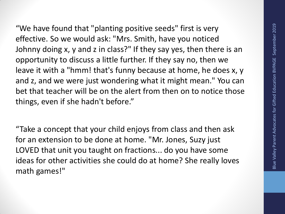"We have found that "planting positive seeds" first is very effective. So we would ask: "Mrs. Smith, have you noticed Johnny doing x, y and z in class?" If they say yes, then there is an opportunity to discuss a little further. If they say no, then we leave it with a "hmm! that's funny because at home, he does x, y and z, and we were just wondering what it might mean." You can bet that teacher will be on the alert from then on to notice those things, even if she hadn't before."

"Take a concept that your child enjoys from class and then ask for an extension to be done at home. "Mr. Jones, Suzy just LOVED that unit you taught on fractions... do you have some ideas for other activities she could do at home? She really loves math games!"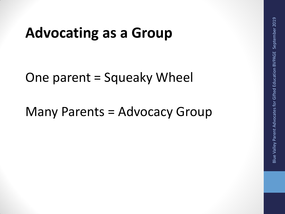### **Advocating as a Group**

One parent = Squeaky Wheel

Many Parents = Advocacy Group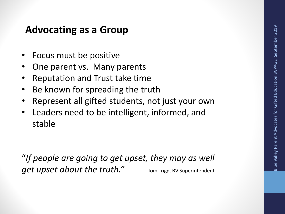#### **Advocating as a Group**

- Focus must be positive
- One parent vs. Many parents
- Reputation and Trust take time
- Be known for spreading the truth
- Represent all gifted students, not just your own
- Leaders need to be intelligent, informed, and stable

"*If people are going to get upset, they may as well get upset about the truth.*" Tom Trigg, BV Superintendent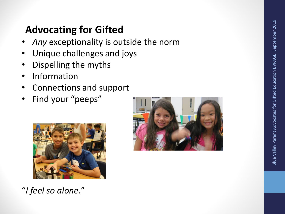### **Advocating for Gifted**

- Any exceptionality is outside the norm
- Unique challenges and joys
- Dispelling the myths
- **Information**
- Connections and support
- Find your "peeps"



"*I feel so alone.*"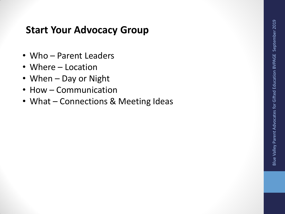#### **Start Your Advocacy Group**

- Who Parent Leaders
- Where Location
- When Day or Night
- How Communication
- What Connections & Meeting Ideas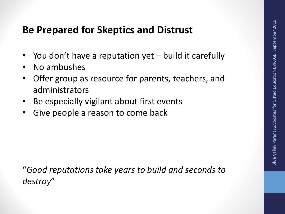#### **Be Prepared for Skeptics and Distrust**

- You don't have a reputation yet build it carefully
- No ambushes
- Offer group as resource for parents, teachers, and administrators
- Be especially vigilant about first events
- Give people a reason to come back

"*Good reputations take years to build and seconds to destroy*"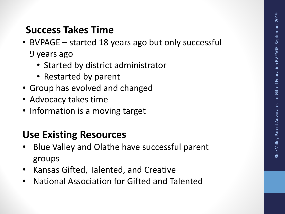### **Success Takes Time**

- BVPAGE started 18 years ago but only successful 9 years ago
	- Started by district administrator
	- Restarted by parent
- Group has evolved and changed
- Advocacy takes time
- Information is a moving target

### **Use Existing Resources**

- Blue Valley and Olathe have successful parent groups
- Kansas Gifted, Talented, and Creative
- National Association for Gifted and Talented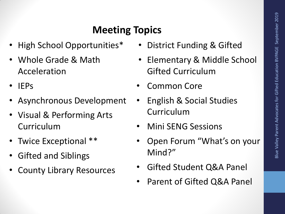### **Meeting Topics**

- High School Opportunities\*
- Whole Grade & Math Acceleration
- IEPs
- Asynchronous Development
- Visual & Performing Arts Curriculum
- Twice Exceptional \*\*
- Gifted and Siblings
- County Library Resources
- District Funding & Gifted
- Elementary & Middle School Gifted Curriculum
- Common Core
- English & Social Studies Curriculum
- Mini SENG Sessions
- Open Forum "What's on your Mind?"
- Gifted Student Q&A Panel
- Parent of Gifted Q&A Panel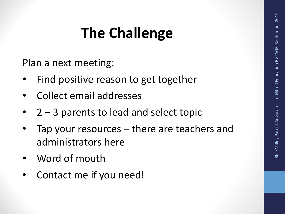### **The Challenge**

Plan a next meeting:

- Find positive reason to get together
- Collect email addresses
- 2 3 parents to lead and select topic
- Tap your resources there are teachers and administrators here
- Word of mouth
- Contact me if you need!